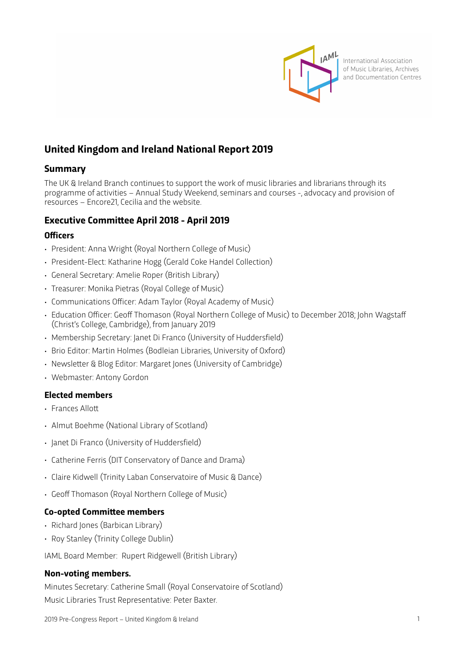

International Association of Music Libraries, Archives and Documentation Centres

# **United Kingdom and Ireland National Report 2019**

## **Summary**

The UK & Ireland Branch continues to support the work of music libraries and librarians through its programme of activities – Annual Study Weekend, seminars and courses -, advocacy and provision of resources – Encore21, Cecilia and the website.

## **Executive Commitee April 2018 - April 2019**

### **Officers**

- President: Anna Wright (Royal Northern College of Music)
- President-Elect: Katharine Hogg (Gerald Coke Handel Collection)
- General Secretary: Amelie Roper (British Library)
- Treasurer: Monika Pietras (Royal College of Music)
- Communications Officer: Adam Taylor (Royal Academy of Music)
- Education Officer: Geoff Thomason (Royal Northern College of Music) to December 2018; John Wagstaff (Christ's College, Cambridge), from January 2019
- Membership Secretary: Janet Di Franco (University of Huddersfield)
- Brio Editor: Martin Holmes (Bodleian Libraries, University of Oxford)
- Newsleter & Blog Editor: Margaret Jones (University of Cambridge)
- Webmaster: Antony Gordon

### **Elected members**

- Frances Allott
- Almut Boehme (National Library of Scotland)
- Janet Di Franco (University of Huddersfield)
- Catherine Ferris (DIT Conservatory of Dance and Drama)
- Claire Kidwell (Trinity Laban Conservatoire of Music & Dance)
- Geoff Thomason (Royal Northern College of Music)

### **Co-opted Commitee members**

- Richard Jones (Barbican Library)
- Roy Stanley (Trinity College Dublin)

IAML Board Member: Rupert Ridgewell (British Library)

#### **Non-voting members.**

Minutes Secretary: Catherine Small (Royal Conservatoire of Scotland) Music Libraries Trust Representative: Peter Baxter.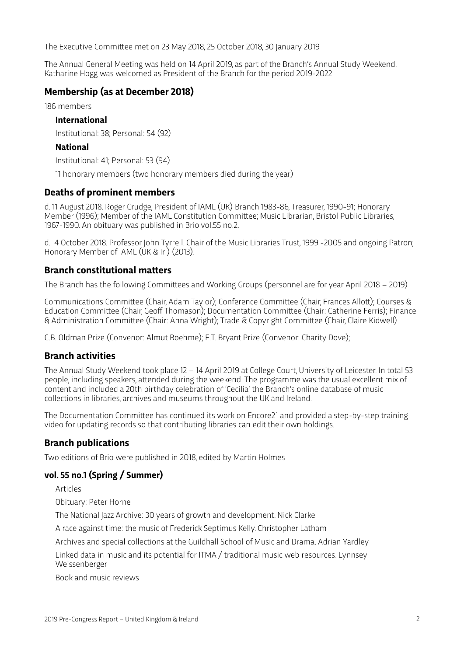The Executive Commitee met on 23 May 2018, 25 October 2018, 30 January 2019

The Annual General Meeting was held on 14 April 2019, as part of the Branch's Annual Study Weekend. Katharine Hogg was welcomed as President of the Branch for the period 2019-2022

## **Membership (as at December 2018)**

186 members

#### **International**

Institutional: 38; Personal: 54 (92)

#### **National**

Institutional: 41; Personal: 53 (94)

11 honorary members (two honorary members died during the year)

#### **Deaths of prominent members**

d. 11 August 2018. Roger Crudge, President of IAML (UK) Branch 1983-86, Treasurer, 1990-91; Honorary Member (1996); Member of the IAML Constitution Commitee; Music Librarian, Bristol Public Libraries, 1967-1990. An obituary was published in Brio vol.55 no.2.

d. 4 October 2018. Professor John Tyrrell. Chair of the Music Libraries Trust, 1999 -2005 and ongoing Patron; Honorary Member of IAML (UK & Irl) (2013).

### **Branch constitutional maters**

The Branch has the following Commitees and Working Groups (personnel are for year April 2018 – 2019)

Communications Commitee (Chair, Adam Taylor); Conference Commitee (Chair, Frances Allot); Courses & Education Commitee (Chair, Geoff Thomason); Documentation Commitee (Chair: Catherine Ferris); Finance & Administration Commitee (Chair: Anna Wright); Trade & Copyright Commitee (Chair, Claire Kidwell)

C.B. Oldman Prize (Convenor: Almut Boehme); E.T. Bryant Prize (Convenor: Charity Dove);

### **Branch activities**

The Annual Study Weekend took place 12 – 14 April 2019 at College Court, University of Leicester. In total 53 people, including speakers, atended during the weekend. The programme was the usual excellent mix of content and included a 20th birthday celebration of 'Cecilia' the Branch's online database of music collections in libraries, archives and museums throughout the UK and Ireland.

The Documentation Commitee has continued its work on Encore21 and provided a step-by-step training video for updating records so that contributing libraries can edit their own holdings.

### **Branch publications**

Two editions of Brio were published in 2018, edited by Martin Holmes

### **vol. 55 no.1 (Spring / Summer)**

Articles

Obituary: Peter Horne

The National Jazz Archive: 30 years of growth and development. Nick Clarke

A race against time: the music of Frederick Septimus Kelly. Christopher Latham

Archives and special collections at the Guildhall School of Music and Drama. Adrian Yardley

Linked data in music and its potential for ITMA / traditional music web resources. Lynnsey Weissenberger

Book and music reviews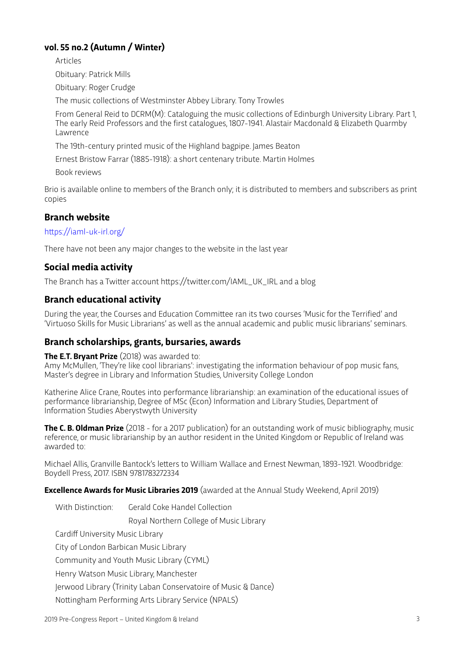## **vol. 55 no.2 (Autumn / Winter)**

Articles

Obituary: Patrick Mills

Obituary: Roger Crudge

The music collections of Westminster Abbey Library. Tony Trowles

From General Reid to DCRM(M): Cataloguing the music collections of Edinburgh University Library. Part 1, The early Reid Professors and the first catalogues, 1807-1941. Alastair Macdonald & Elizabeth Quarmby Lawrence

The 19th-century printed music of the Highland bagpipe. James Beaton

Ernest Bristow Farrar (1885-1918): a short centenary tribute. Martin Holmes

Book reviews

Brio is available online to members of the Branch only; it is distributed to members and subscribers as print copies

### **Branch website**

https://iaml-uk-irl.org/

There have not been any major changes to the website in the last year

## **Social media activity**

The Branch has a Twiter account htps://twiter.com/IAML\_UK\_IRL and a blog

#### **Branch educational activity**

During the year, the Courses and Education Commitee ran its two courses 'Music for the Terrified' and 'Virtuoso Skills for Music Librarians' as well as the annual academic and public music librarians' seminars.

#### **Branch scholarships, grants, bursaries, awards**

**The E.T. Bryant Prize** (2018) was awarded to:

Amy McMullen, 'They're like cool librarians': investigating the information behaviour of pop music fans, Master's degree in Library and Information Studies, University College London

Katherine Alice Crane, Routes into performance librarianship: an examination of the educational issues of performance librarianship, Degree of MSc (Econ) Information and Library Studies, Department of Information Studies Aberystwyth University

**The C. B. Oldman Prize** (2018 - for a 2017 publication) for an outstanding work of music bibliography, music reference, or music librarianship by an author resident in the United Kingdom or Republic of Ireland was awarded to:

Michael Allis, Granville Bantock's leters to William Wallace and Ernest Newman, 1893-1921. Woodbridge: Boydell Press, 2017. ISBN 9781783272334

**Excellence Awards for Music Libraries 2019** (awarded at the Annual Study Weekend, April 2019)

With Distinction: Gerald Coke Handel Collection Royal Northern College of Music Library Cardiff University Music Library City of London Barbican Music Library Community and Youth Music Library (CYML) Henry Watson Music Library, Manchester Jerwood Library (Trinity Laban Conservatoire of Music & Dance) Notingham Performing Arts Library Service (NPALS)